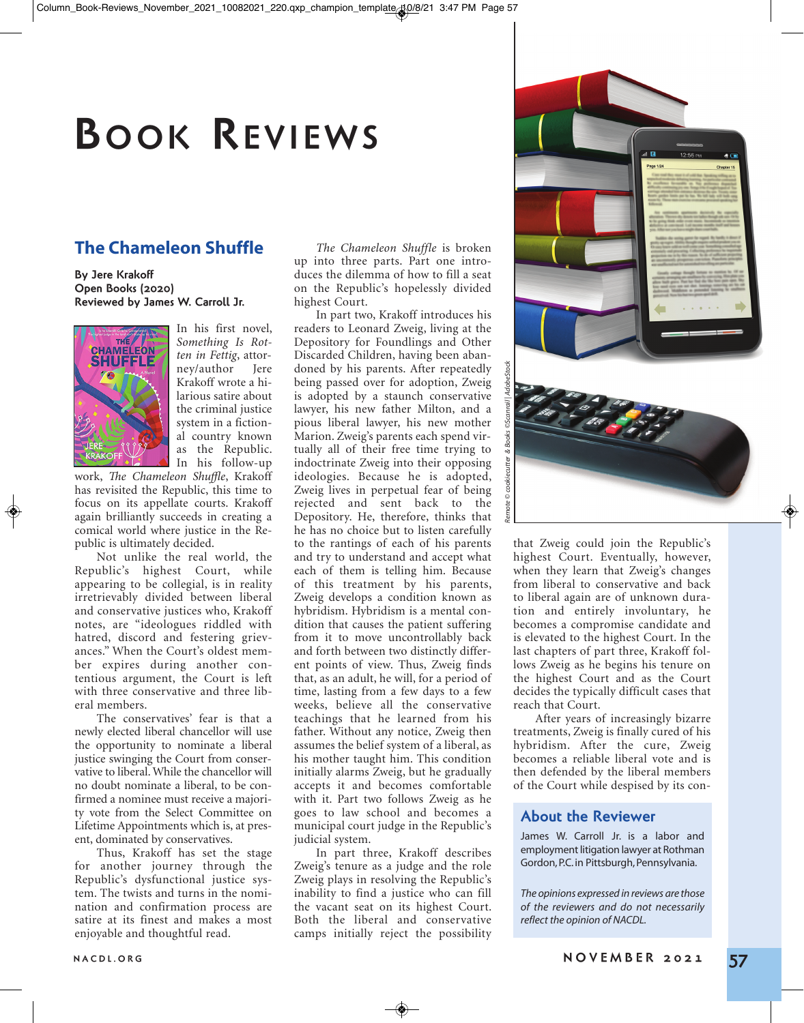# **BOOK REVIEWS**

## **The Chameleon Shuffle**

**By Jere Krakoff Open Books (2020) Reviewed by James W. Carroll Jr.**



In his first novel, *Something Is Rotten in Fettig*, attorney/author Krakoff wrote a hilarious satire about the criminal justice system in a fictional country known as the Republic. In his follow-up

work, *The Chameleon Shuffle*, Krakoff has revisited the Republic, this time to focus on its appellate courts. Krakoff again brilliantly succeeds in creating a comical world where justice in the Republic is ultimately decided.

Not unlike the real world, the Republic's highest Court, while appearing to be collegial, is in reality irretrievably divided between liberal and conservative justices who, Krakoff notes, are "ideologues riddled with hatred, discord and festering grievances." When the Court's oldest member expires during another contentious argument, the Court is left with three conservative and three liberal members.

The conservatives' fear is that a newly elected liberal chancellor will use the opportunity to nominate a liberal justice swinging the Court from conservative to liberal. While the chancellor will no doubt nominate a liberal, to be confirmed a nominee must receive a majority vote from the Select Committee on Lifetime Appointments which is, at present, dominated by conservatives.

Thus, Krakoff has set the stage for another journey through the Republic's dysfunctional justice system. The twists and turns in the nomination and confirmation process are satire at its finest and makes a most enjoyable and thoughtful read.

*The Chameleon Shuffle* is broken up into three parts. Part one introduces the dilemma of how to fill a seat on the Republic's hopelessly divided highest Court.

In part two, Krakoff introduces his readers to Leonard Zweig, living at the Depository for Foundlings and Other Discarded Children, having been abandoned by his parents. After repeatedly being passed over for adoption, Zweig is adopted by a staunch conservative lawyer, his new father Milton, and a pious liberal lawyer, his new mother Marion. Zweig's parents each spend virtually all of their free time trying to indoctrinate Zweig into their opposing ideologies. Because he is adopted, Zweig lives in perpetual fear of being rejected and sent back to the Depository. He, therefore, thinks that he has no choice but to listen carefully to the rantings of each of his parents and try to understand and accept what each of them is telling him. Because of this treatment by his parents, Zweig develops a condition known as hybridism. Hybridism is a mental condition that causes the patient suffering from it to move uncontrollably back and forth between two distinctly different points of view. Thus, Zweig finds that, as an adult, he will, for a period of time, lasting from a few days to a few weeks, believe all the conservative teachings that he learned from his father. Without any notice, Zweig then assumes the belief system of a liberal, as his mother taught him. This condition initially alarms Zweig, but he gradually accepts it and becomes comfortable with it. Part two follows Zweig as he goes to law school and becomes a municipal court judge in the Republic's judicial system.

In part three, Krakoff describes Zweig's tenure as a judge and the role Zweig plays in resolving the Republic's inability to find a justice who can fill the vacant seat on its highest Court. Both the liberal and conservative camps initially reject the possibility



highest Court. Eventually, however, when they learn that Zweig's changes from liberal to conservative and back to liberal again are of unknown duration and entirely involuntary, he becomes a compromise candidate and is elevated to the highest Court. In the last chapters of part three, Krakoff follows Zweig as he begins his tenure on the highest Court and as the Court decides the typically difficult cases that reach that Court.

After years of increasingly bizarre treatments, Zweig is finally cured of his hybridism. After the cure, Zweig becomes a reliable liberal vote and is then defended by the liberal members of the Court while despised by its con-

## **About the Reviewer**

James W. Carroll Jr. is a labor and employment litigation lawyer at Rothman Gordon, P.C. in Pittsburgh, Pennsylvania.

*The opinions expressed in reviews are those of the reviewers and do not necessarily reflect the opinion of NACDL.*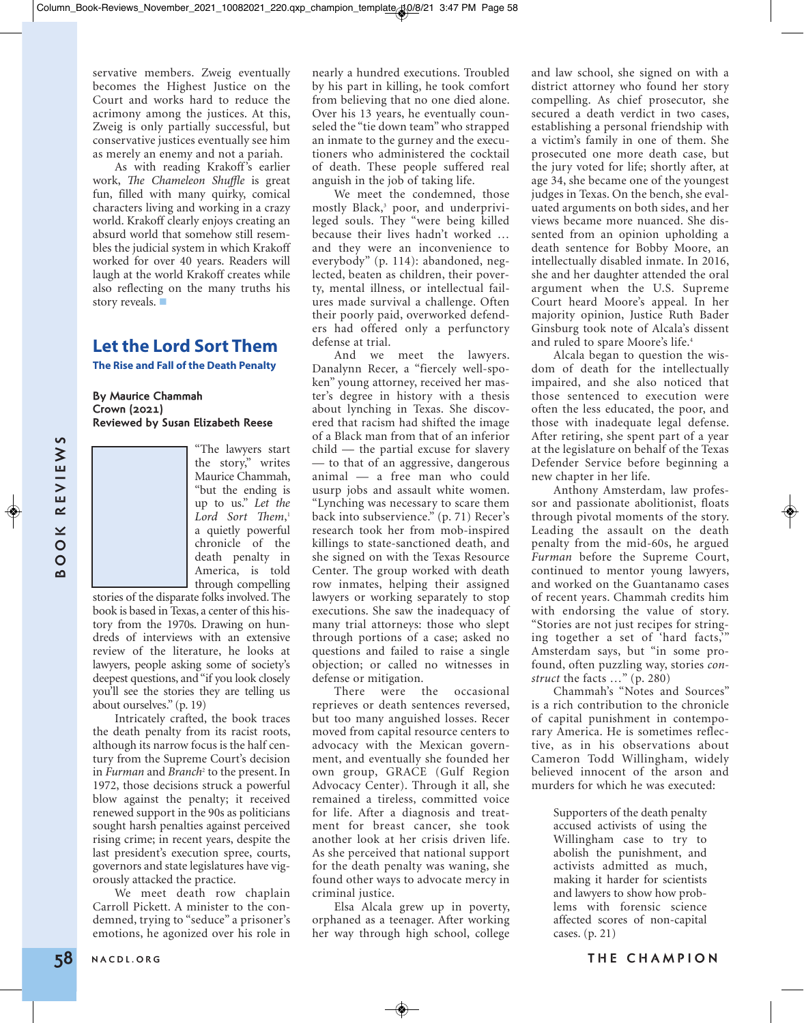servative members. Zweig eventually becomes the Highest Justice on the Court and works hard to reduce the acrimony among the justices. At this, Zweig is only partially successful, but conservative justices eventually see him as merely an enemy and not a pariah.

As with reading Krakoff's earlier work, *The Chameleon Shuffle* is great fun, filled with many quirky, comical characters living and working in a crazy world. Krakoff clearly enjoys creating an absurd world that somehow still resembles the judicial system in which Krakoff worked for over 40 years. Readers will laugh at the world Krakoff creates while also reflecting on the many truths his story reveals.

## **Let the Lord Sort Them**

**The Rise and Fall of the Death Penalty**

### **By Maurice Chammah Crown (2021) Reviewed by Susan Elizabeth Reese**

"The lawyers start the story," writes Maurice Chammah, "but the ending is up to us." *Let the Lord Sort Them*, 1 a quietly powerful chronicle of the death penalty in America, is told through compelling

stories of the disparate folks involved. The book is based in Texas, a center of this history from the 1970s. Drawing on hundreds of interviews with an extensive review of the literature, he looks at lawyers, people asking some of society's deepest questions, and "if you look closely you'll see the stories they are telling us about ourselves." (p. 19)

Intricately crafted, the book traces the death penalty from its racist roots, although its narrow focus is the half century from the Supreme Court's decision in *Furman* and *Branch*<sup>2</sup> to the present. In 1972, those decisions struck a powerful blow against the penalty; it received renewed support in the 90s as politicians sought harsh penalties against perceived rising crime; in recent years, despite the last president's execution spree, courts, governors and state legislatures have vigorously attacked the practice.

We meet death row chaplain Carroll Pickett. A minister to the condemned, trying to "seduce" a prisoner's emotions, he agonized over his role in

nearly a hundred executions. Troubled by his part in killing, he took comfort from believing that no one died alone. Over his 13 years, he eventually counseled the "tie down team" who strapped an inmate to the gurney and the executioners who administered the cocktail of death. These people suffered real anguish in the job of taking life.

We meet the condemned, those mostly Black,3 poor, and underprivileged souls. They "were being killed because their lives hadn't worked … and they were an inconvenience to everybody" (p. 114): abandoned, neglected, beaten as children, their poverty, mental illness, or intellectual failures made survival a challenge. Often their poorly paid, overworked defenders had offered only a perfunctory defense at trial.

**EXAMPLE 10** The howest surfact challed the period rate and who could now the highlinter connect in Fig. comparison that the stating bound in the could not be could be a stating by a stating by a stating the stating of th And we meet the lawyers. Danalynn Recer, a "fiercely well-spoken" young attorney, received her master's degree in history with a thesis about lynching in Texas. She discovered that racism had shifted the image of a Black man from that of an inferior child — the partial excuse for slavery — to that of an aggressive, dangerous animal — a free man who could usurp jobs and assault white women. "Lynching was necessary to scare them back into subservience." (p. 71) Recer's research took her from mob-inspired killings to state-sanctioned death, and she signed on with the Texas Resource Center. The group worked with death row inmates, helping their assigned lawyers or working separately to stop executions. She saw the inadequacy of many trial attorneys: those who slept through portions of a case; asked no questions and failed to raise a single objection; or called no witnesses in defense or mitigation.

There were the occasional reprieves or death sentences reversed, but too many anguished losses. Recer moved from capital resource centers to advocacy with the Mexican government, and eventually she founded her own group, GRACE (Gulf Region Advocacy Center). Through it all, she remained a tireless, committed voice for life. After a diagnosis and treatment for breast cancer, she took another look at her crisis driven life. As she perceived that national support for the death penalty was waning, she found other ways to advocate mercy in criminal justice.

Elsa Alcala grew up in poverty, orphaned as a teenager. After working her way through high school, college

and law school, she signed on with a district attorney who found her story compelling. As chief prosecutor, she secured a death verdict in two cases, establishing a personal friendship with a victim's family in one of them. She prosecuted one more death case, but the jury voted for life; shortly after, at age 34, she became one of the youngest judges in Texas. On the bench, she evaluated arguments on both sides, and her views became more nuanced. She dissented from an opinion upholding a death sentence for Bobby Moore, an intellectually disabled inmate. In 2016, she and her daughter attended the oral argument when the U.S. Supreme Court heard Moore's appeal. In her majority opinion, Justice Ruth Bader Ginsburg took note of Alcala's dissent and ruled to spare Moore's life.<sup>4</sup>

Alcala began to question the wisdom of death for the intellectually impaired, and she also noticed that those sentenced to execution were often the less educated, the poor, and those with inadequate legal defense. After retiring, she spent part of a year at the legislature on behalf of the Texas Defender Service before beginning a new chapter in her life.

Anthony Amsterdam, law professor and passionate abolitionist, floats through pivotal moments of the story. Leading the assault on the death penalty from the mid-60s, he argued *Furman* before the Supreme Court, continued to mentor young lawyers, and worked on the Guantanamo cases of recent years. Chammah credits him with endorsing the value of story. "Stories are not just recipes for stringing together a set of 'hard facts,'" Amsterdam says, but "in some profound, often puzzling way, stories *construct* the facts …" (p. 280)

Chammah's "Notes and Sources" is a rich contribution to the chronicle of capital punishment in contemporary America. He is sometimes reflective, as in his observations about Cameron Todd Willingham, widely believed innocent of the arson and murders for which he was executed:

> Supporters of the death penalty accused activists of using the Willingham case to try to abolish the punishment, and activists admitted as much, making it harder for scientists and lawyers to show how problems with forensic science affected scores of non-capital cases. (p. 21)